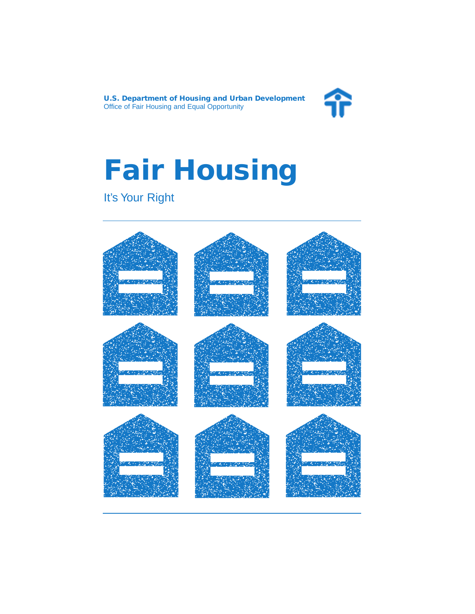

# **Fair Housing**

## It's Your Right

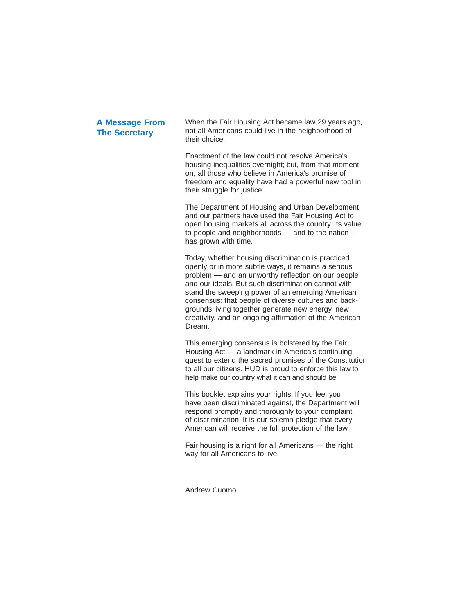#### **A Message From The Secretary**

When the Fair Housing Act became law 29 years ago, not all Americans could live in the neighborhood of their choice.

Enactment of the law could not resolve America's housing inequalities overnight; but, from that moment on, all those who believe in America's promise of freedom and equality have had a powerful new tool in their struggle for justice.

The Department of Housing and Urban Development and our partners have used the Fair Housing Act to open housing markets all across the country. Its value to people and neighborhoods — and to the nation has grown with time.

Today, whether housing discrimination is practiced openly or in more subtle ways, it remains a serious problem — and an unworthy reflection on our people and our ideals. But such discrimination cannot withstand the sweeping power of an emerging American consensus: that people of diverse cultures and backgrounds living together generate new energy, new creativity, and an ongoing affirmation of the American Dream.

This emerging consensus is bolstered by the Fair Housing Act — a landmark in America's continuing quest to extend the sacred promises of the Constitution to all our citizens. HUD is proud to enforce this law to help make our country what it can and should be.

This booklet explains your rights. If you feel you have been discriminated against, the Department will respond promptly and thoroughly to your complaint of discrimination. It is our solemn pledge that every American will receive the full protection of the law.

Fair housing is a right for all Americans — the right way for all Americans to live.

Andrew Cuomo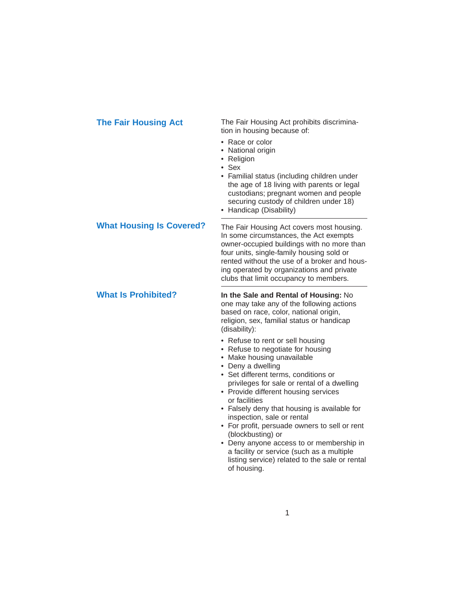**The Fair Housing Act** The Fair Housing Act prohibits discrimination in housing because of:

- Race or color
- National origin
- Religion
- Sex
- Familial status (including children under the age of 18 living with parents or legal custodians; pregnant women and people securing custody of children under 18)
- Handicap (Disability)

### **What Housing Is Covered?**

**What Is Prohibited?**

The Fair Housing Act covers most housing. In some circumstances, the Act exempts owner-occupied buildings with no more than four units, single-family housing sold or rented without the use of a broker and housing operated by organizations and private clubs that limit occupancy to members.

**In the Sale and Rental of Housing:** No one may take any of the following actions based on race, color, national origin, religion, sex, familial status or handicap (disability):

- Refuse to rent or sell housing
- Refuse to negotiate for housing
- Make housing unavailable
- Deny a dwelling
- Set different terms, conditions or privileges for sale or rental of a dwelling
- Provide different housing services or facilities
- Falsely deny that housing is available for inspection, sale or rental
- For profit, persuade owners to sell or rent (blockbusting) or
- Deny anyone access to or membership in a facility or service (such as a multiple listing service) related to the sale or rental of housing.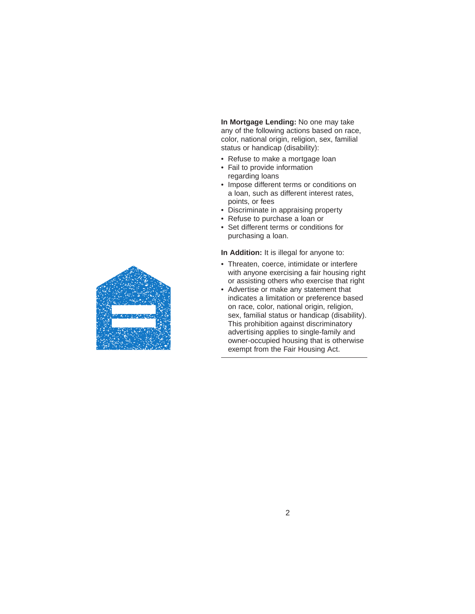**In Mortgage Lending:** No one may take any of the following actions based on race, color, national origin, religion, sex, familial status or handicap (disability):

- Refuse to make a mortgage loan
- Fail to provide information regarding loans
- Impose different terms or conditions on a loan, such as different interest rates, points, or fees
- Discriminate in appraising property
- Refuse to purchase a loan or
- Set different terms or conditions for purchasing a loan.

**In Addition:** It is illegal for anyone to:

- Threaten, coerce, intimidate or interfere with anyone exercising a fair housing right or assisting others who exercise that right
- Advertise or make any statement that indicates a limitation or preference based on race, color, national origin, religion, sex, familial status or handicap (disability). This prohibition against discriminatory advertising applies to single-family and owner-occupied housing that is otherwise exempt from the Fair Housing Act.

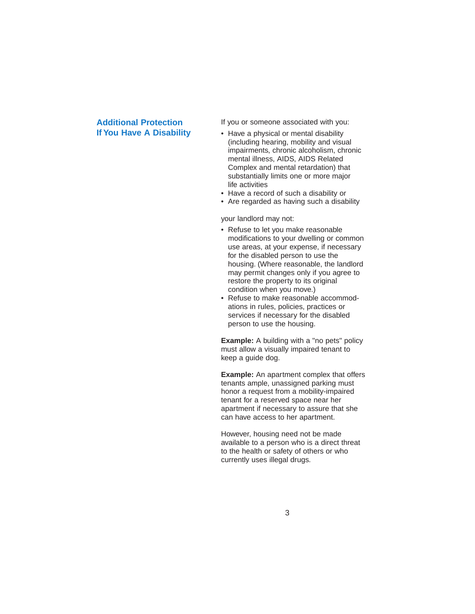#### **Additional Protection If You Have A Disability**

If you or someone associated with you:

- Have a physical or mental disability (including hearing, mobility and visual impairments, chronic alcoholism, chronic mental illness, AIDS, AIDS Related Complex and mental retardation) that substantially limits one or more major life activities
- Have a record of such a disability or
- Are regarded as having such a disability

your landlord may not:

- Refuse to let you make reasonable modifications to your dwelling or common use areas, at your expense, if necessary for the disabled person to use the housing. (Where reasonable, the landlord may permit changes only if you agree to restore the property to its original condition when you move.)
- Refuse to make reasonable accommodations in rules, policies, practices or services if necessary for the disabled person to use the housing.

**Example:** A building with a "no pets" policy must allow a visually impaired tenant to keep a guide dog.

**Example:** An apartment complex that offers tenants ample, unassigned parking must honor a request from a mobility-impaired tenant for a reserved space near her apartment if necessary to assure that she can have access to her apartment.

However, housing need not be made available to a person who is a direct threat to the health or safety of others or who currently uses illegal drugs.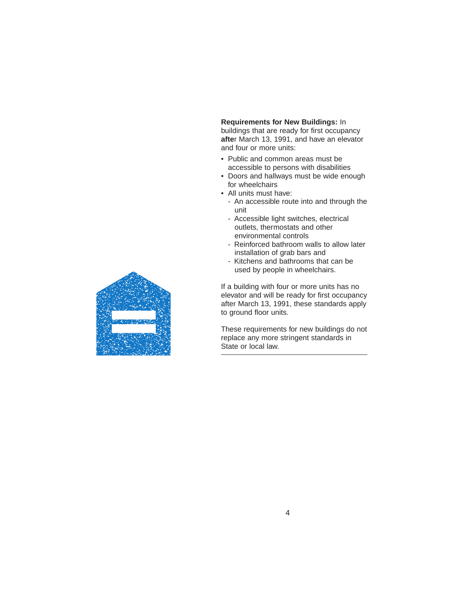**Requirements for New Buildings:** In buildings that are ready for first occupancy **afte**r March 13, 1991, and have an elevator and four or more units:

- Public and common areas must be accessible to persons with disabilities
- Doors and hallways must be wide enough for wheelchairs
- All units must have:
	- An accessible route into and through the unit
	- Accessible light switches, electrical outlets, thermostats and other environmental controls
	- Reinforced bathroom walls to allow later installation of grab bars and
	- Kitchens and bathrooms that can be used by people in wheelchairs.

If a building with four or more units has no elevator and will be ready for first occupancy after March 13, 1991, these standards apply to ground floor units.

These requirements for new buildings do not replace any more stringent standards in State or local law.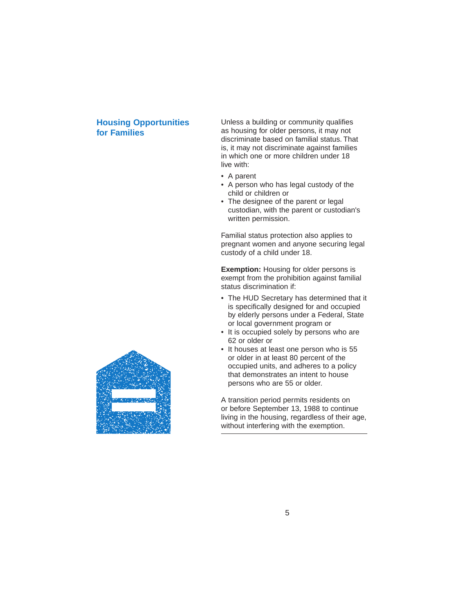#### **Housing Opportunities for Families**

Unless a building or community qualifies as housing for older persons, it may not discriminate based on familial status. That is, it may not discriminate against families in which one or more children under 18 live with:

- A parent
- A person who has legal custody of the child or children or
- The designee of the parent or legal custodian, with the parent or custodian's written permission.

Familial status protection also applies to pregnant women and anyone securing legal custody of a child under 18.

**Exemption:** Housing for older persons is exempt from the prohibition against familial status discrimination if:

- The HUD Secretary has determined that it is specifically designed for and occupied by elderly persons under a Federal, State or local government program or
- It is occupied solely by persons who are 62 or older or
- It houses at least one person who is 55 or older in at least 80 percent of the occupied units, and adheres to a policy that demonstrates an intent to house persons who are 55 or older.

A transition period permits residents on or before September 13, 1988 to continue living in the housing, regardless of their age, without interfering with the exemption.

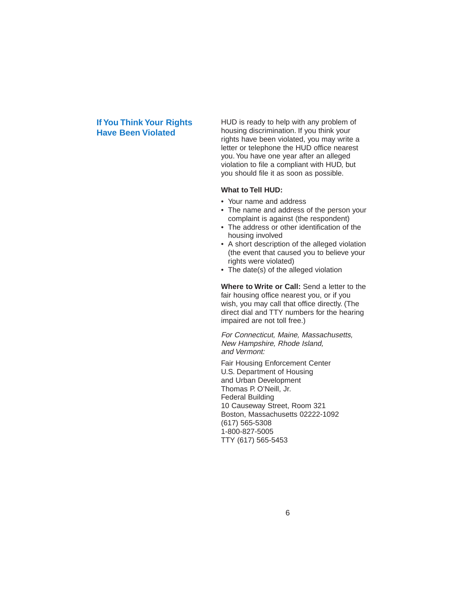#### **If You Think Your Rights Have Been Violated**

HUD is ready to help with any problem of housing discrimination. If you think your rights have been violated, you may write a letter or telephone the HUD office nearest you.You have one year after an alleged violation to file a compliant with HUD, but you should file it as soon as possible.

#### **What to Tell HUD:**

- Your name and address
- The name and address of the person your complaint is against (the respondent)
- The address or other identification of the housing involved
- A short description of the alleged violation (the event that caused you to believe your rights were violated)
- The date(s) of the alleged violation

**Where to Write or Call:** Send a letter to the fair housing office nearest you, or if you wish, you may call that office directly. (The direct dial and TTY numbers for the hearing impaired are not toll free.)

For Connecticut, Maine, Massachusetts, New Hampshire, Rhode Island, and Vermont:

Fair Housing Enforcement Center U.S. Department of Housing and Urban Development Thomas P. O'Neill, Jr. Federal Building 10 Causeway Street, Room 321 Boston, Massachusetts 02222-1092 (617) 565-5308 1-800-827-5005 TTY (617) 565-5453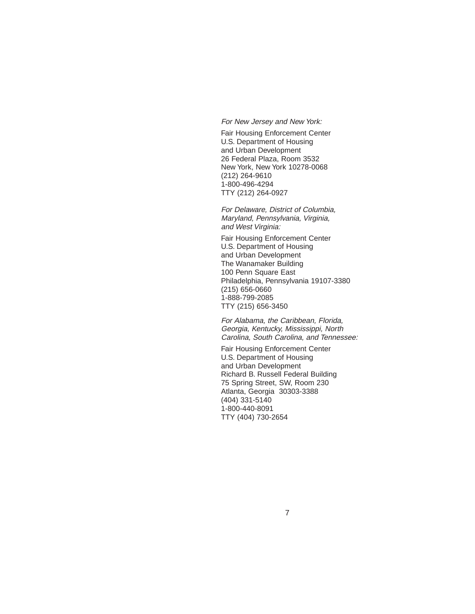For New Jersey and New York:

Fair Housing Enforcement Center U.S. Department of Housing and Urban Development 26 Federal Plaza, Room 3532 New York, New York 10278-0068 (212) 264-9610 1-800-496-4294 TTY (212) 264-0927

For Delaware, District of Columbia, Maryland, Pennsylvania, Virginia, and West Virginia:

Fair Housing Enforcement Center U.S. Department of Housing and Urban Development The Wanamaker Building 100 Penn Square East Philadelphia, Pennsylvania 19107-3380 (215) 656-0660 1-888-799-2085 TTY (215) 656-3450

For Alabama, the Caribbean, Florida, Georgia, Kentucky, Mississippi, North Carolina, South Carolina, and Tennessee:

Fair Housing Enforcement Center U.S. Department of Housing and Urban Development Richard B. Russell Federal Building 75 Spring Street, SW, Room 230 Atlanta, Georgia 30303-3388 (404) 331-5140 1-800-440-8091 TTY (404) 730-2654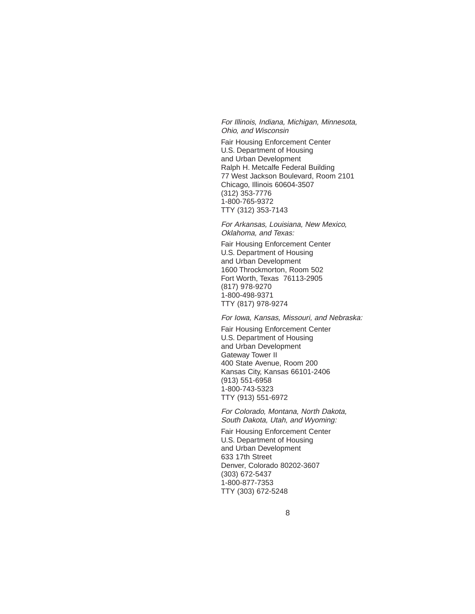For Illinois, Indiana, Michigan, Minnesota, Ohio, and Wisconsin

Fair Housing Enforcement Center U.S. Department of Housing and Urban Development Ralph H. Metcalfe Federal Building 77 West Jackson Boulevard, Room 2101 Chicago, Illinois 60604-3507 (312) 353-7776 1-800-765-9372 TTY (312) 353-7143

For Arkansas, Louisiana, New Mexico, Oklahoma, and Texas:

Fair Housing Enforcement Center U.S. Department of Housing and Urban Development 1600 Throckmorton, Room 502 Fort Worth, Texas 76113-2905 (817) 978-9270 1-800-498-9371 TTY (817) 978-9274

For Iowa, Kansas, Missouri, and Nebraska:

Fair Housing Enforcement Center U.S. Department of Housing and Urban Development Gateway Tower II 400 State Avenue, Room 200 Kansas City, Kansas 66101-2406 (913) 551-6958 1-800-743-5323 TTY (913) 551-6972

For Colorado, Montana, North Dakota, South Dakota, Utah, and Wyoming:

Fair Housing Enforcement Center U.S. Department of Housing and Urban Development 633 17th Street Denver, Colorado 80202-3607 (303) 672-5437 1-800-877-7353 TTY (303) 672-5248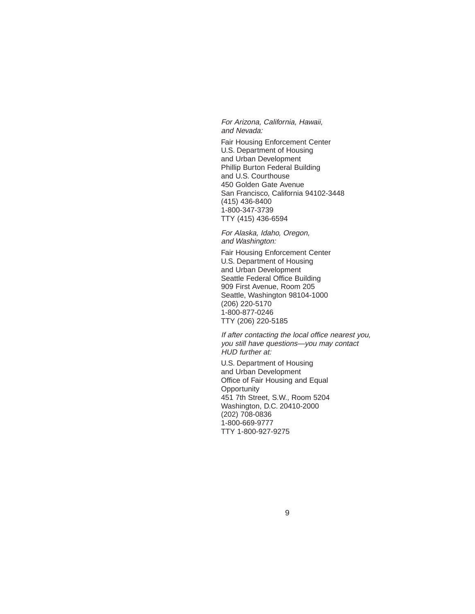For Arizona, California, Hawaii, and Nevada:

Fair Housing Enforcement Center U.S. Department of Housing and Urban Development Phillip Burton Federal Building and U.S. Courthouse 450 Golden Gate Avenue San Francisco, California 94102-3448 (415) 436-8400 1-800-347-3739 TTY (415) 436-6594

For Alaska, Idaho, Oregon, and Washington:

Fair Housing Enforcement Center U.S. Department of Housing and Urban Development Seattle Federal Office Building 909 First Avenue, Room 205 Seattle, Washington 98104-1000 (206) 220-5170 1-800-877-0246 TTY (206) 220-5185

If after contacting the local office nearest you, you still have questions—you may contact HUD further at:

U.S. Department of Housing and Urban Development Office of Fair Housing and Equal **Opportunity** 451 7th Street, S.W., Room 5204 Washington, D.C. 20410-2000 (202) 708-0836 1-800-669-9777 TTY 1-800-927-9275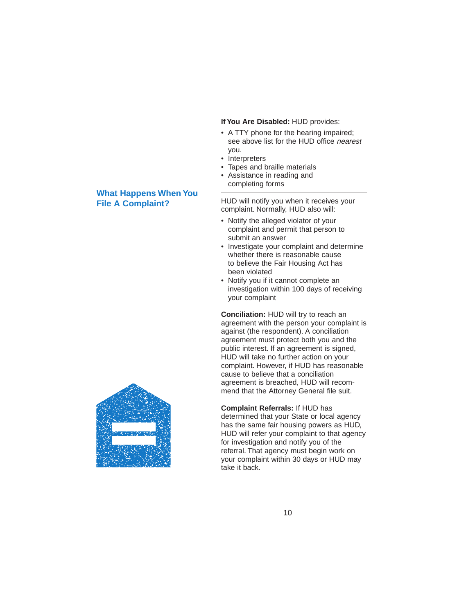## **What Happens When You File A Complaint?**



- A TTY phone for the hearing impaired; see above list for the HUD office nearest you.
- Interpreters
- Tapes and braille materials
- Assistance in reading and completing forms

HUD will notify you when it receives your complaint. Normally, HUD also will:

- Notify the alleged violator of your complaint and permit that person to submit an answer
- Investigate your complaint and determine whether there is reasonable cause to believe the Fair Housing Act has been violated
- Notify you if it cannot complete an investigation within 100 days of receiving your complaint

**Conciliation:** HUD will try to reach an agreement with the person your complaint is against (the respondent). A conciliation agreement must protect both you and the public interest. If an agreement is signed, HUD will take no further action on your complaint. However, if HUD has reasonable cause to believe that a conciliation agreement is breached, HUD will recommend that the Attorney General file suit.

**Complaint Referrals:** If HUD has determined that your State or local agency has the same fair housing powers as HUD, HUD will refer your complaint to that agency for investigation and notify you of the referral. That agency must begin work on your complaint within 30 days or HUD may take it back.

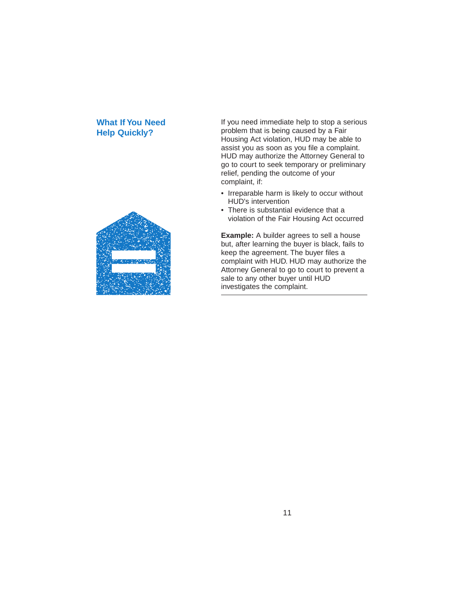#### **What If You Need Help Quickly?**



If you need immediate help to stop a serious problem that is being caused by a Fair Housing Act violation, HUD may be able to assist you as soon as you file a complaint. HUD may authorize the Attorney General to go to court to seek temporary or preliminary relief, pending the outcome of your complaint, if:

- Irreparable harm is likely to occur without HUD's intervention
- There is substantial evidence that a violation of the Fair Housing Act occurred

**Example:** A builder agrees to sell a house but, after learning the buyer is black, fails to keep the agreement. The buyer files a complaint with HUD. HUD may authorize the Attorney General to go to court to prevent a sale to any other buyer until HUD investigates the complaint.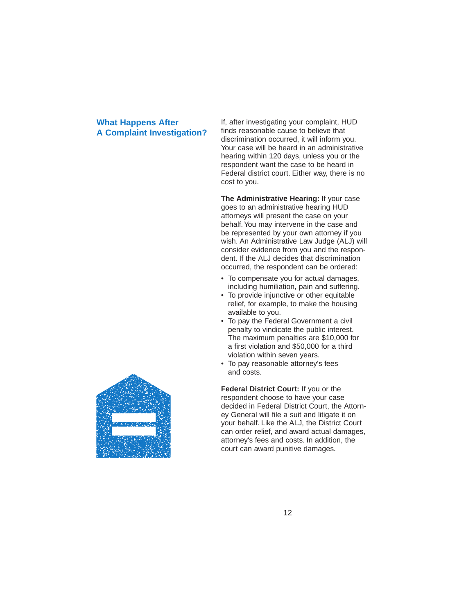#### **What Happens After A Complaint Investigation?**

If, after investigating your complaint, HUD finds reasonable cause to believe that discrimination occurred, it will inform you. Your case will be heard in an administrative hearing within 120 days, unless you or the respondent want the case to be heard in Federal district court. Either way, there is no cost to you.

**The Administrative Hearing:** If your case goes to an administrative hearing HUD attorneys will present the case on your behalf.You may intervene in the case and be represented by your own attorney if you wish. An Administrative Law Judge (ALJ) will consider evidence from you and the respondent. If the ALJ decides that discrimination occurred, the respondent can be ordered:

- To compensate you for actual damages, including humiliation, pain and suffering.
- To provide injunctive or other equitable relief, for example, to make the housing available to you.
- To pay the Federal Government a civil penalty to vindicate the public interest. The maximum penalties are \$10,000 for a first violation and \$50,000 for a third violation within seven years.
- To pay reasonable attorney's fees and costs.

**Federal District Court:** If you or the respondent choose to have your case decided in Federal District Court, the Attorney General will file a suit and litigate it on your behalf. Like the ALJ, the District Court can order relief, and award actual damages, attorney's fees and costs. In addition, the court can award punitive damages.

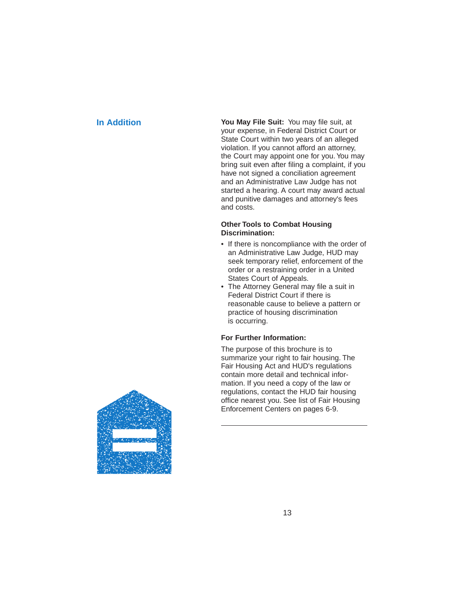**In Addition You May File Suit:** You may file suit, at your expense, in Federal District Court or State Court within two years of an alleged violation. If you cannot afford an attorney, the Court may appoint one for you.You may bring suit even after filing a complaint, if you have not signed a conciliation agreement and an Administrative Law Judge has not started a hearing. A court may award actual and punitive damages and attorney's fees and costs.

#### **Other Tools to Combat Housing Discrimination:**

- If there is noncompliance with the order of an Administrative Law Judge, HUD may seek temporary relief, enforcement of the order or a restraining order in a United States Court of Appeals.
- The Attorney General may file a suit in Federal District Court if there is reasonable cause to believe a pattern or practice of housing discrimination is occurring.

#### **For Further Information:**

The purpose of this brochure is to summarize your right to fair housing. The Fair Housing Act and HUD's regulations contain more detail and technical information. If you need a copy of the law or regulations, contact the HUD fair housing office nearest you. See list of Fair Housing Enforcement Centers on pages 6-9.